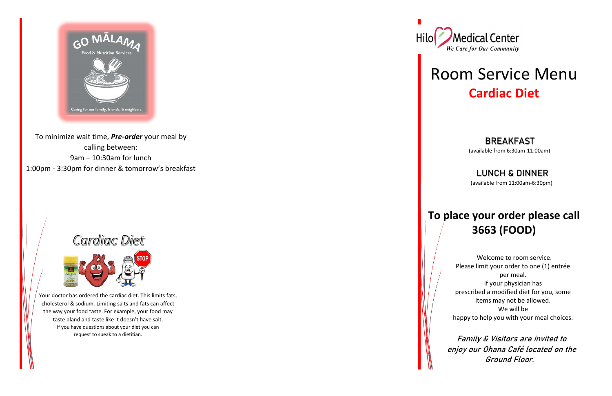

To minimize wait time, *Pre-order* your meal by calling between: 9am – 10:30am for lunch 1:00pm - 3:30pm for dinner & tomorrow's breakfast

## Cardiac Diet



### BREAKFAST

Your doctor has ordered the cardiac diet. This limits fats, cholesterol & sodium. Limiting salts and fats can affect the way your food taste. For example, your food may taste bland and taste like it doesn't have salt. If you have questions about your diet you can request to speak to a dietitian.



# Room Service Menu **Cardiac Diet**

(available from 6:30am-11:00am)

### LUNCH & DINNER

(available from 11:00am-6:30pm)

### **To place your order please call 3663 (FOOD)**

 Welcome to room service. Please limit your order to one (1) entrée per meal. If your physician has prescribed a modified diet for you, some items may not be allowed. We will be happy to help you with your meal choices.

 Family & Visitors are invited to enjoy our Ohana Café located on the Ground Floor.